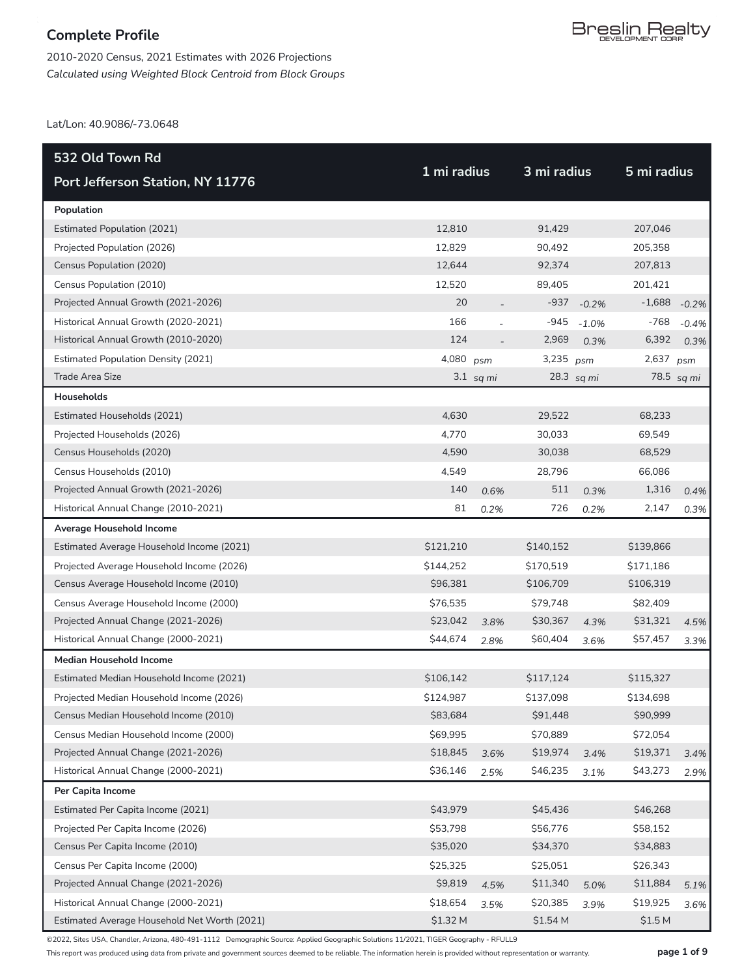2010-2020 Census, 2021 Estimates with 2026 Projections *Calculated using Weighted Block Centroid from Block Groups*

Lat/Lon: 40.9086/-73.0648

| 532 Old Town Rd                              | 1 mi radius |             |           | 3 mi radius |                    | 5 mi radius |  |
|----------------------------------------------|-------------|-------------|-----------|-------------|--------------------|-------------|--|
| Port Jefferson Station, NY 11776             |             |             |           |             |                    |             |  |
| Population                                   |             |             |           |             |                    |             |  |
| <b>Estimated Population (2021)</b>           | 12,810      |             | 91,429    |             | 207,046            |             |  |
| Projected Population (2026)                  | 12,829      |             | 90,492    |             | 205,358            |             |  |
| Census Population (2020)                     | 12,644      |             | 92,374    |             | 207,813            |             |  |
| Census Population (2010)                     | 12,520      |             | 89,405    |             | 201,421            |             |  |
| Projected Annual Growth (2021-2026)          | 20          |             | $-937$    | $-0.2%$     | $-1,688$           | $-0.2%$     |  |
| Historical Annual Growth (2020-2021)         | 166         |             | $-945$    | $-1.0%$     | -768               | $-0.4%$     |  |
| Historical Annual Growth (2010-2020)         | 124         |             | 2,969     | 0.3%        | 6,392              | 0.3%        |  |
| <b>Estimated Population Density (2021)</b>   | 4,080       | psm         | 3,235     | psm         | 2,637              | psm         |  |
| Trade Area Size                              |             | $3.1$ sq mi |           | 28.3 sq mi  |                    | 78.5 sq mi  |  |
| Households                                   |             |             |           |             |                    |             |  |
| Estimated Households (2021)                  | 4,630       |             | 29,522    |             | 68,233             |             |  |
| Projected Households (2026)                  | 4,770       |             | 30,033    |             | 69,549             |             |  |
| Census Households (2020)                     | 4,590       |             | 30,038    |             | 68,529             |             |  |
| Census Households (2010)                     | 4,549       |             | 28,796    |             | 66,086             |             |  |
| Projected Annual Growth (2021-2026)          | 140         | 0.6%        | 511       | 0.3%        | 1,316              | 0.4%        |  |
| Historical Annual Change (2010-2021)         | 81          | 0.2%        | 726       | 0.2%        | 2,147              | 0.3%        |  |
| Average Household Income                     |             |             |           |             |                    |             |  |
| Estimated Average Household Income (2021)    | \$121,210   |             | \$140,152 |             | \$139,866          |             |  |
| Projected Average Household Income (2026)    | \$144,252   |             | \$170,519 |             | \$171,186          |             |  |
| Census Average Household Income (2010)       | \$96,381    |             | \$106,709 |             | \$106,319          |             |  |
| Census Average Household Income (2000)       | \$76,535    |             | \$79,748  |             | \$82,409           |             |  |
| Projected Annual Change (2021-2026)          | \$23,042    | 3.8%        | \$30,367  | 4.3%        | \$31,321           | 4.5%        |  |
| Historical Annual Change (2000-2021)         | \$44,674    | 2.8%        | \$60,404  | 3.6%        | \$57,457           | 3.3%        |  |
| <b>Median Household Income</b>               |             |             |           |             |                    |             |  |
| Estimated Median Household Income (2021)     | \$106,142   |             | \$117,124 |             | \$115,327          |             |  |
| Projected Median Household Income (2026)     | \$124,987   |             | \$137,098 |             | \$134,698          |             |  |
| Census Median Household Income (2010)        | \$83,684    |             | \$91,448  |             | \$90,999           |             |  |
| Census Median Household Income (2000)        | \$69,995    |             | \$70,889  |             | \$72,054           |             |  |
| Projected Annual Change (2021-2026)          | \$18,845    | 3.6%        | \$19,974  | 3.4%        | \$19,371           | 3.4%        |  |
| Historical Annual Change (2000-2021)         | \$36,146    | 2.5%        | \$46,235  | 3.1%        | \$43,273           | 2.9%        |  |
| Per Capita Income                            |             |             |           |             |                    |             |  |
| Estimated Per Capita Income (2021)           | \$43,979    |             | \$45,436  |             | \$46,268           |             |  |
| Projected Per Capita Income (2026)           | \$53,798    |             | \$56,776  |             | \$58,152           |             |  |
| Census Per Capita Income (2010)              | \$35,020    |             | \$34,370  |             | \$34,883           |             |  |
| Census Per Capita Income (2000)              | \$25,325    |             | \$25,051  |             | \$26,343           |             |  |
| Projected Annual Change (2021-2026)          | \$9,819     | 4.5%        | \$11,340  | 5.0%        | \$11,884           | 5.1%        |  |
| Historical Annual Change (2000-2021)         | \$18,654    | 3.5%        | \$20,385  | 3.9%        | \$19,925           | 3.6%        |  |
| Estimated Average Household Net Worth (2021) | \$1.32 M    |             | \$1.54 M  |             | \$1.5 <sub>M</sub> |             |  |

©2022, Sites USA, Chandler, Arizona, 480-491-1112 Demographic Source: Applied Geographic Solutions 11/2021, TIGER Geography - RFULL9

This report was produced using data from private and government sources deemed to be reliable. The information herein is provided without representation or warranty. **page 1 of 9**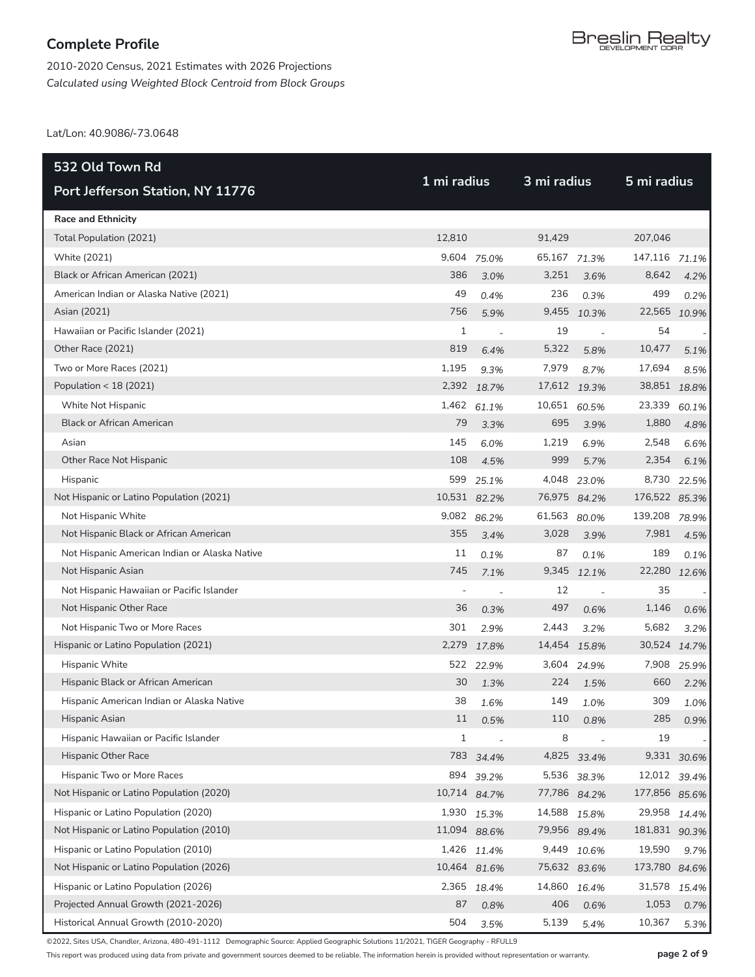2010-2020 Census, 2021 Estimates with 2026 Projections *Calculated using Weighted Block Centroid from Block Groups*

Lat/Lon: 40.9086/-73.0648

| 532 Old Town Rd                               | 1 mi radius              |                          |              | 3 mi radius              |               |              |
|-----------------------------------------------|--------------------------|--------------------------|--------------|--------------------------|---------------|--------------|
| Port Jefferson Station, NY 11776              |                          |                          |              |                          | 5 mi radius   |              |
| <b>Race and Ethnicity</b>                     |                          |                          |              |                          |               |              |
| Total Population (2021)                       | 12,810                   |                          | 91,429       |                          | 207,046       |              |
| White (2021)                                  | 9,604                    | 75.0%                    | 65,167 71.3% |                          | 147,116       | 71.1%        |
| Black or African American (2021)              | 386                      | 3.0%                     | 3,251        | 3.6%                     | 8,642         | 4.2%         |
| American Indian or Alaska Native (2021)       | 49                       | 0.4%                     | 236          | 0.3%                     | 499           | 0.2%         |
| Asian (2021)                                  | 756                      | 5.9%                     | 9,455        | 10.3%                    |               | 22,565 10.9% |
| Hawaiian or Pacific Islander (2021)           | 1                        | $\overline{a}$           | 19           | $\overline{\phantom{a}}$ | 54            |              |
| Other Race (2021)                             | 819                      | 6.4%                     | 5,322        | 5.8%                     | 10,477        | 5.1%         |
| Two or More Races (2021)                      | 1,195                    | 9.3%                     | 7,979        | 8.7%                     | 17,694        | 8.5%         |
| Population < 18 (2021)                        |                          | 2,392 18.7%              | 17,612 19.3% |                          | 38,851 18.8%  |              |
| White Not Hispanic                            | 1,462                    | 61.1%                    | 10,651 60.5% |                          | 23,339        | 60.1%        |
| <b>Black or African American</b>              | 79                       | 3.3%                     | 695          | 3.9%                     | 1,880         | 4.8%         |
| Asian                                         | 145                      | 6.0%                     | 1,219        | 6.9%                     | 2,548         | 6.6%         |
| Other Race Not Hispanic                       | 108                      | 4.5%                     | 999          | 5.7%                     | 2,354         | 6.1%         |
| Hispanic                                      | 599                      | 25.1%                    | 4,048        | 23.0%                    | 8,730         | 22.5%        |
| Not Hispanic or Latino Population (2021)      | 10,531 82.2%             |                          | 76,975 84.2% |                          | 176,522 85.3% |              |
| Not Hispanic White                            |                          | 9,082 86.2%              | 61,563       | 80.0%                    | 139,208       | 78.9%        |
| Not Hispanic Black or African American        | 355                      | 3.4%                     | 3,028        | 3.9%                     | 7,981         | 4.5%         |
| Not Hispanic American Indian or Alaska Native | 11                       | 0.1%                     | 87           | 0.1%                     | 189           | 0.1%         |
| Not Hispanic Asian                            | 745                      | 7.1%                     | 9,345        | 12.1%                    |               | 22,280 12.6% |
| Not Hispanic Hawaiian or Pacific Islander     | $\overline{\phantom{m}}$ | $\overline{a}$           | 12           |                          | 35            |              |
| Not Hispanic Other Race                       | 36                       | 0.3%                     | 497          | 0.6%                     | 1,146         | 0.6%         |
| Not Hispanic Two or More Races                | 301                      | 2.9%                     | 2,443        | 3.2%                     | 5,682         | 3.2%         |
| Hispanic or Latino Population (2021)          | 2,279                    | 17.8%                    | 14,454       | 15.8%                    | 30,524        | 14.7%        |
| Hispanic White                                | 522                      | 22.9%                    | 3,604        | 24.9%                    | 7,908         | 25.9%        |
| Hispanic Black or African American            | 30                       | 1.3%                     | 224          | 1.5%                     | 660           | 2.2%         |
| Hispanic American Indian or Alaska Native     | 38                       | 1.6%                     | 149          | 1.0%                     | 309           | 1.0%         |
| Hispanic Asian                                | $11\,$                   | 0.5%                     | 110          | 0.8%                     | 285           | 0.9%         |
| Hispanic Hawaiian or Pacific Islander         | 1                        | $\overline{\phantom{a}}$ | 8            |                          | 19            |              |
| Hispanic Other Race                           | 783                      | 34.4%                    |              | 4,825 33.4%              |               | 9,331 30.6%  |
| Hispanic Two or More Races                    | 894                      | 39.2%                    | 5,536        | 38.3%                    | 12,012        | 39.4%        |
| Not Hispanic or Latino Population (2020)      | 10,714 84.7%             |                          | 77,786 84.2% |                          | 177,856 85.6% |              |
| Hispanic or Latino Population (2020)          |                          | 1,930 15.3%              | 14,588 15.8% |                          | 29,958        | 14.4%        |
| Not Hispanic or Latino Population (2010)      | 11,094 88.6%             |                          | 79,956 89.4% |                          | 181,831 90.3% |              |
| Hispanic or Latino Population (2010)          | 1,426                    | 11.4%                    | 9,449        | 10.6%                    | 19,590        | 9.7%         |
| Not Hispanic or Latino Population (2026)      | 10,464 81.6%             |                          | 75,632 83.6% |                          | 173,780       | 84.6%        |
| Hispanic or Latino Population (2026)          | 2,365                    | 18.4%                    | 14,860 16.4% |                          | 31,578        | 15.4%        |
| Projected Annual Growth (2021-2026)           | 87                       | 0.8%                     | 406          | 0.6%                     | 1,053         | 0.7%         |
| Historical Annual Growth (2010-2020)          | 504                      | 3.5%                     | 5,139        | 5.4%                     | 10,367        | 5.3%         |

©2022, Sites USA, Chandler, Arizona, 480-491-1112 Demographic Source: Applied Geographic Solutions 11/2021, TIGER Geography - RFULL9

This report was produced using data from private and government sources deemed to be reliable. The information herein is provided without representation or warranty. **page 2 of 9**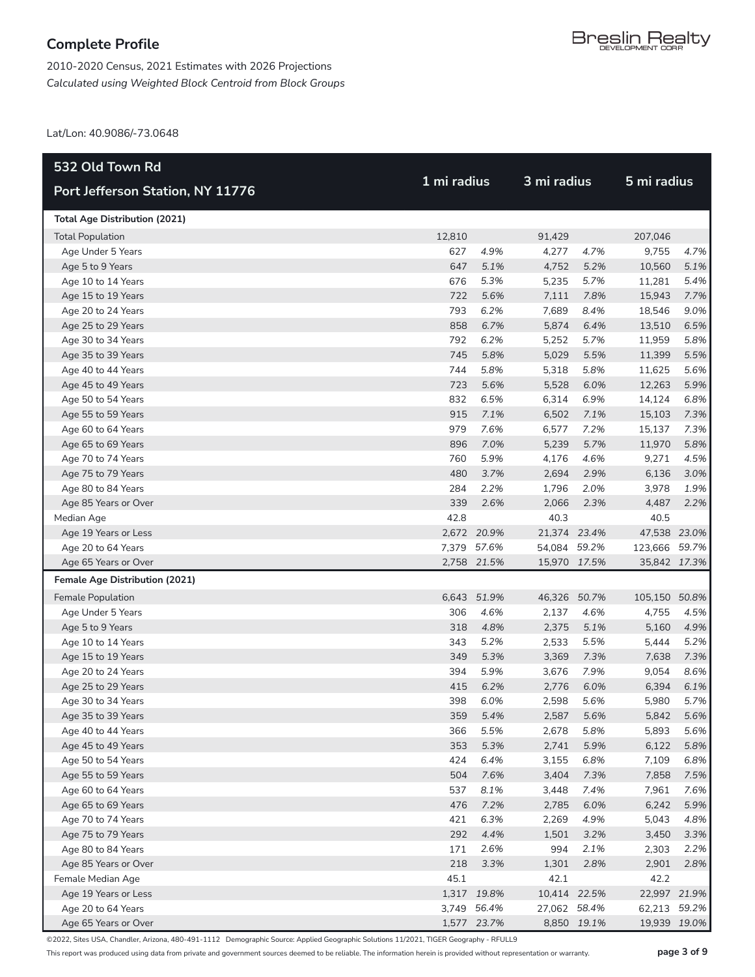2010-2020 Census, 2021 Estimates with 2026 Projections *Calculated using Weighted Block Centroid from Block Groups*

Lat/Lon: 40.9086/-73.0648

| 532 Old Town Rd                        |              |             | 3 mi radius  |             |               |      |
|----------------------------------------|--------------|-------------|--------------|-------------|---------------|------|
| Port Jefferson Station, NY 11776       | 1 mi radius  |             |              |             | 5 mi radius   |      |
| <b>Total Age Distribution (2021)</b>   |              |             |              |             |               |      |
| <b>Total Population</b>                | 12,810       |             | 91,429       |             | 207,046       |      |
| Age Under 5 Years                      | 627          | 4.9%        | 4,277        | 4.7%        | 9,755         | 4.7% |
| Age 5 to 9 Years                       | 647          | 5.1%        | 4,752        | 5.2%        | 10,560        | 5.1% |
| Age 10 to 14 Years                     | 676          | 5.3%        | 5,235        | 5.7%        | 11,281        | 5.4% |
| Age 15 to 19 Years                     | 722          | 5.6%        | 7,111        | 7.8%        | 15,943        | 7.7% |
| Age 20 to 24 Years                     | 793          | 6.2%        | 7,689        | 8.4%        | 18,546        | 9.0% |
| Age 25 to 29 Years                     | 858          | 6.7%        | 5,874        | 6.4%        | 13,510        | 6.5% |
| Age 30 to 34 Years                     | 792          | 6.2%        | 5,252        | 5.7%        | 11,959        | 5.8% |
| Age 35 to 39 Years                     | 745          | 5.8%        | 5,029        | 5.5%        | 11,399        | 5.5% |
| Age 40 to 44 Years                     | 744          | 5.8%        | 5,318        | 5.8%        | 11,625        | 5.6% |
| Age 45 to 49 Years                     | 723          | 5.6%        | 5,528        | 6.0%        | 12,263        | 5.9% |
| Age 50 to 54 Years                     | 832          | 6.5%        | 6,314        | 6.9%        | 14,124        | 6.8% |
| Age 55 to 59 Years                     | 915          | 7.1%        | 6,502        | 7.1%        | 15,103        | 7.3% |
| Age 60 to 64 Years                     | 979          | 7.6%        | 6,577        | 7.2%        | 15,137        | 7.3% |
| Age 65 to 69 Years                     | 896          | 7.0%        | 5,239        | 5.7%        | 11,970        | 5.8% |
| Age 70 to 74 Years                     | 760          | 5.9%        | 4,176        | 4.6%        | 9,271         | 4.5% |
| Age 75 to 79 Years                     | 480          | 3.7%        | 2,694        | 2.9%        | 6,136         | 3.0% |
| Age 80 to 84 Years                     | 284          | 2.2%        | 1,796        | 2.0%        | 3,978         | 1.9% |
| Age 85 Years or Over                   | 339          | 2.6%        | 2,066        | 2.3%        | 4,487         | 2.2% |
| Median Age                             | 42.8         |             | 40.3         |             | 40.5          |      |
| Age 19 Years or Less                   |              | 2,672 20.9% | 21,374 23.4% |             | 47,538 23.0%  |      |
| Age 20 to 64 Years                     |              | 7,379 57.6% | 54,084 59.2% |             | 123,666 59.7% |      |
| Age 65 Years or Over                   |              | 2,758 21.5% | 15,970 17.5% |             | 35,842 17.3%  |      |
| <b>Female Age Distribution (2021)</b>  |              | 51.9%       | 46,326       | 50.7%       | 105,150 50.8% |      |
| Female Population<br>Age Under 5 Years | 6,643<br>306 | 4.6%        | 2,137        | 4.6%        | 4,755         | 4.5% |
| Age 5 to 9 Years                       | 318          | 4.8%        | 2,375        | 5.1%        | 5,160         | 4.9% |
| Age 10 to 14 Years                     | 343          | 5.2%        | 2,533        | 5.5%        | 5,444         | 5.2% |
| Age 15 to 19 Years                     | 349          | 5.3%        | 3,369        | 7.3%        | 7,638         | 7.3% |
| Age 20 to 24 Years                     | 394          | 5.9%        | 3,676        | 7.9%        | 9,054         | 8.6% |
| Age 25 to 29 Years                     | 415          | 6.2%        | 2,776        | 6.0%        | 6,394         | 6.1% |
| Age 30 to 34 Years                     | 398          | 6.0%        | 2,598        | 5.6%        | 5,980         | 5.7% |
| Age 35 to 39 Years                     |              | 359 5.4%    | 2,587        | 5.6%        | 5,842         | 5.6% |
| Age 40 to 44 Years                     | 366          | 5.5%        | 2,678        | 5.8%        | 5,893         | 5.6% |
| Age 45 to 49 Years                     | 353          | 5.3%        | 2,741        | 5.9%        | 6,122         | 5.8% |
| Age 50 to 54 Years                     | 424          | 6.4%        | 3,155        | 6.8%        | 7,109         | 6.8% |
| Age 55 to 59 Years                     | 504          | 7.6%        | 3,404        | 7.3%        | 7,858         | 7.5% |
| Age 60 to 64 Years                     | 537          | 8.1%        | 3,448        | 7.4%        | 7,961         | 7.6% |
| Age 65 to 69 Years                     | 476          | 7.2%        | 2,785        | 6.0%        | 6,242         | 5.9% |
| Age 70 to 74 Years                     | 421          | 6.3%        | 2,269        | 4.9%        | 5,043         | 4.8% |
| Age 75 to 79 Years                     | 292          | 4.4%        | 1,501        | 3.2%        | 3,450         | 3.3% |
| Age 80 to 84 Years                     | 171          | 2.6%        | 994          | 2.1%        | 2,303         | 2.2% |
| Age 85 Years or Over                   | 218          | 3.3%        | 1,301        | 2.8%        | 2,901         | 2.8% |
| Female Median Age                      | 45.1         |             | 42.1         |             | 42.2          |      |
| Age 19 Years or Less                   |              | 1,317 19.8% | 10,414 22.5% |             | 22,997 21.9%  |      |
| Age 20 to 64 Years                     |              | 3,749 56.4% | 27,062 58.4% |             | 62,213 59.2%  |      |
| Age 65 Years or Over                   |              | 1,577 23.7% |              | 8,850 19.1% | 19,939 19.0%  |      |

©2022, Sites USA, Chandler, Arizona, 480-491-1112 Demographic Source: Applied Geographic Solutions 11/2021, TIGER Geography - RFULL9

This report was produced using data from private and government sources deemed to be reliable. The information herein is provided without representation or warranty. **page 3 of 9**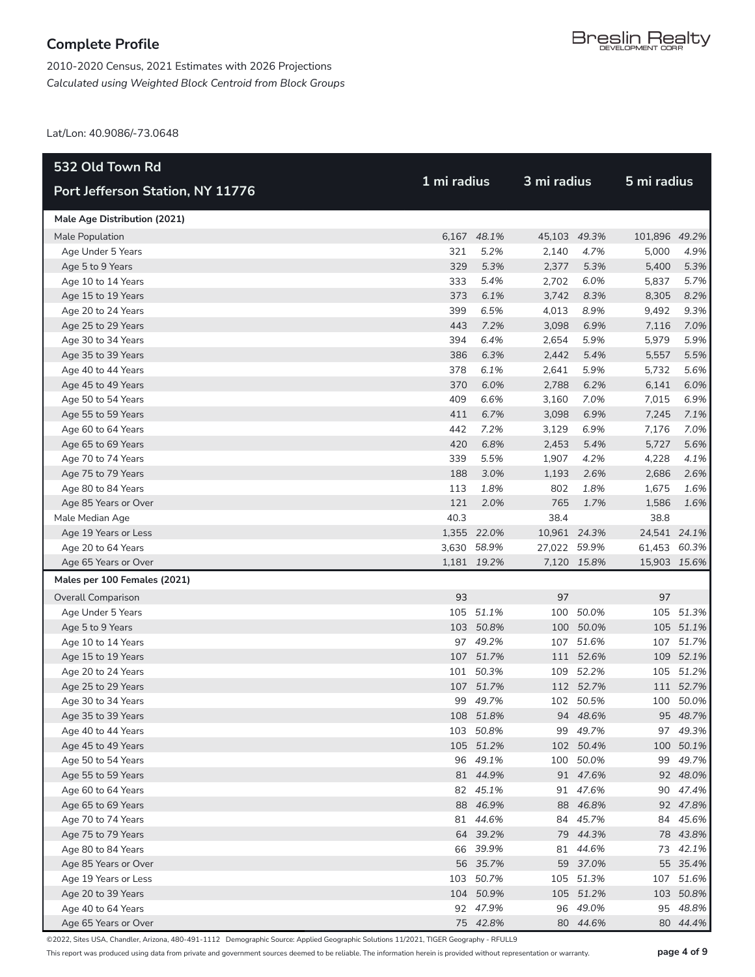2010-2020 Census, 2021 Estimates with 2026 Projections *Calculated using Weighted Block Centroid from Block Groups*

Lat/Lon: 40.9086/-73.0648

| 532 Old Town Rd                          |      |                       |              | 3 mi radius           |               |                      |
|------------------------------------------|------|-----------------------|--------------|-----------------------|---------------|----------------------|
| Port Jefferson Station, NY 11776         |      | 1 mi radius           |              |                       | 5 mi radius   |                      |
| Male Age Distribution (2021)             |      |                       |              |                       |               |                      |
| Male Population                          |      | 6,167 48.1%           | 45,103 49.3% |                       | 101,896 49.2% |                      |
| Age Under 5 Years                        | 321  | 5.2%                  | 2,140        | 4.7%                  | 5,000         | 4.9%                 |
| Age 5 to 9 Years                         | 329  | 5.3%                  | 2,377        | 5.3%                  | 5,400         | 5.3%                 |
| Age 10 to 14 Years                       | 333  | 5.4%                  | 2,702        | 6.0%                  | 5,837         | 5.7%                 |
| Age 15 to 19 Years                       | 373  | 6.1%                  | 3,742        | 8.3%                  | 8,305         | 8.2%                 |
| Age 20 to 24 Years                       | 399  | 6.5%                  | 4,013        | 8.9%                  | 9,492         | 9.3%                 |
| Age 25 to 29 Years                       | 443  | 7.2%                  | 3,098        | 6.9%                  | 7,116         | 7.0%                 |
| Age 30 to 34 Years                       | 394  | 6.4%                  | 2,654        | 5.9%                  | 5,979         | 5.9%                 |
| Age 35 to 39 Years                       | 386  | 6.3%                  | 2,442        | 5.4%                  | 5,557         | 5.5%                 |
| Age 40 to 44 Years                       | 378  | 6.1%                  | 2,641        | 5.9%                  | 5,732         | 5.6%                 |
| Age 45 to 49 Years                       | 370  | 6.0%                  | 2,788        | 6.2%                  | 6,141         | 6.0%                 |
| Age 50 to 54 Years                       | 409  | 6.6%                  | 3,160        | 7.0%                  | 7,015         | 6.9%                 |
| Age 55 to 59 Years                       | 411  | 6.7%                  | 3,098        | 6.9%                  | 7,245         | 7.1%                 |
| Age 60 to 64 Years                       | 442  | 7.2%                  | 3,129        | 6.9%                  | 7,176         | 7.0%                 |
| Age 65 to 69 Years                       | 420  | 6.8%                  | 2,453        | 5.4%                  | 5,727         | 5.6%                 |
| Age 70 to 74 Years                       | 339  | 5.5%                  | 1,907        | 4.2%                  | 4,228         | 4.1%                 |
| Age 75 to 79 Years                       | 188  | 3.0%                  | 1,193        | 2.6%                  | 2,686         | 2.6%                 |
| Age 80 to 84 Years                       | 113  | 1.8%                  | 802          | 1.8%                  | 1,675         | 1.6%                 |
| Age 85 Years or Over                     | 121  | 2.0%                  | 765          | 1.7%                  | 1,586         | 1.6%                 |
| Male Median Age                          | 40.3 |                       | 38.4         |                       | 38.8          |                      |
| Age 19 Years or Less                     |      | 1,355 22.0%           | 10,961 24.3% |                       | 24,541 24.1%  |                      |
| Age 20 to 64 Years                       |      | 3,630 58.9%           | 27,022 59.9% |                       | 61,453 60.3%  |                      |
| Age 65 Years or Over                     |      | 1,181 19.2%           |              | 7,120 15.8%           | 15,903 15.6%  |                      |
| Males per 100 Females (2021)             |      |                       |              |                       |               |                      |
| <b>Overall Comparison</b>                | 93   |                       | 97           |                       | 97            |                      |
| Age Under 5 Years                        |      | 105 51.1%             | 100          | 50.0%                 |               | 105 51.3%            |
| Age 5 to 9 Years                         |      | 103 50.8%             | 100          | 50.0%                 |               | 105 51.1%            |
| Age 10 to 14 Years                       |      | 97 49.2%              |              | 107 51.6%             |               | 107 51.7%            |
| Age 15 to 19 Years                       |      | 107 51.7%             |              | 111 52.6%             |               | 109 52.1%            |
| Age 20 to 24 Years                       |      | 101 50.3%             |              | 109 52.2%             |               | 105 51.2%            |
| Age 25 to 29 Years                       |      | 107 51.7%             |              | 112 52.7%             |               | 111 52.7%            |
| Age 30 to 34 Years                       |      | 99 49.7%              |              | 102 50.5%             |               | 100 50.0%            |
| Age 35 to 39 Years                       |      | 108 51.8%             |              | 94 48.6%              |               | 95 48.7%             |
| Age 40 to 44 Years                       |      | 103 50.8%             |              | 99 49.7%              |               | 97 49.3%             |
| Age 45 to 49 Years<br>Age 50 to 54 Years |      | 105 51.2%<br>96 49.1% |              | 102 50.4%             |               | 100 50.1%            |
| Age 55 to 59 Years                       |      | 81 44.9%              |              | 100 50.0%<br>91 47.6% |               | 99 49.7%<br>92 48.0% |
| Age 60 to 64 Years                       |      | 82 45.1%              |              | 91 47.6%              |               | 90 47.4%             |
| Age 65 to 69 Years                       |      | 88 46.9%              |              | 88 46.8%              |               | 92 47.8%             |
| Age 70 to 74 Years                       |      | 81 44.6%              |              | 84 45.7%              |               | 84 45.6%             |
| Age 75 to 79 Years                       |      | 64 39.2%              |              | 79 44.3%              |               | 78 43.8%             |
| Age 80 to 84 Years                       |      | 66 39.9%              |              | 81 44.6%              |               | 73 42.1%             |
| Age 85 Years or Over                     |      | 56 35.7%              |              | 59 37.0%              |               | 55 35.4%             |
| Age 19 Years or Less                     |      | 103 50.7%             |              | 105 51.3%             |               | 107 51.6%            |
| Age 20 to 39 Years                       |      | 104 50.9%             |              | 105 51.2%             |               | 103 50.8%            |
| Age 40 to 64 Years                       |      | 92 47.9%              |              | 96 49.0%              |               | 95 48.8%             |
| Age 65 Years or Over                     |      | 75 42.8%              |              | 80 44.6%              |               | 80 44.4%             |

©2022, Sites USA, Chandler, Arizona, 480-491-1112 Demographic Source: Applied Geographic Solutions 11/2021, TIGER Geography - RFULL9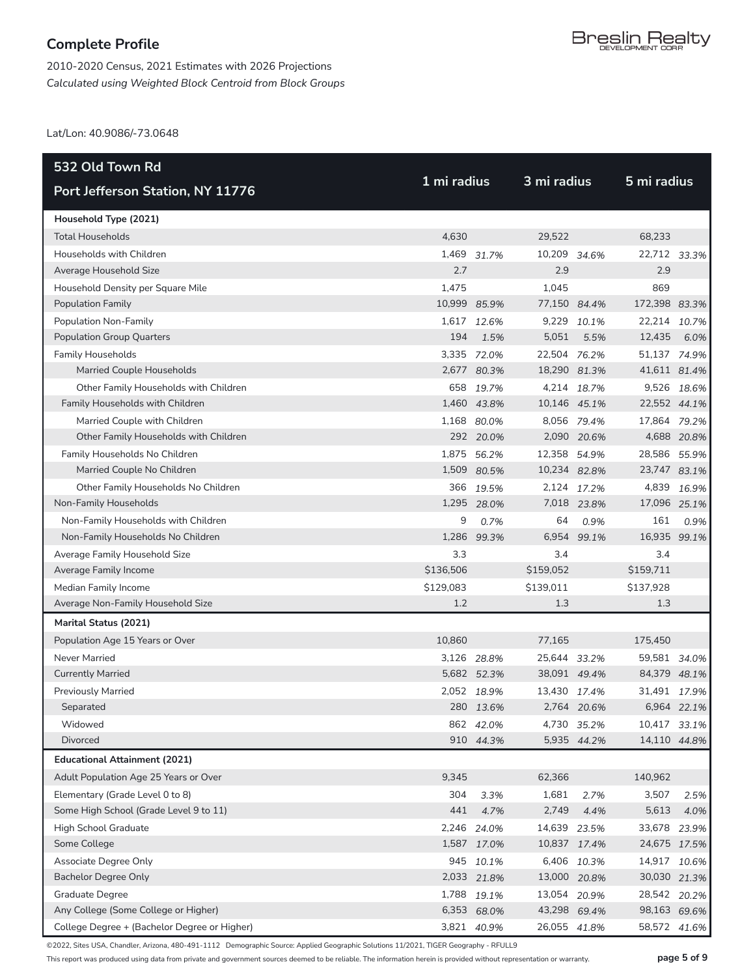2010-2020 Census, 2021 Estimates with 2026 Projections *Calculated using Weighted Block Centroid from Block Groups*

Lat/Lon: 40.9086/-73.0648

| 532 Old Town Rd                              |              |             |              | 3 mi radius |               |              |  |
|----------------------------------------------|--------------|-------------|--------------|-------------|---------------|--------------|--|
| Port Jefferson Station, NY 11776             | 1 mi radius  |             |              |             | 5 mi radius   |              |  |
| Household Type (2021)                        |              |             |              |             |               |              |  |
| <b>Total Households</b>                      | 4,630        |             | 29,522       |             | 68,233        |              |  |
| Households with Children                     |              | 1,469 31.7% | 10,209 34.6% |             | 22,712 33.3%  |              |  |
| Average Household Size                       | 2.7          |             | 2.9          |             | 2.9           |              |  |
| Household Density per Square Mile            | 1,475        |             | 1,045        |             | 869           |              |  |
| <b>Population Family</b>                     | 10,999 85.9% |             | 77,150 84.4% |             | 172,398 83.3% |              |  |
| Population Non-Family                        |              | 1,617 12.6% |              | 9,229 10.1% | 22,214 10.7%  |              |  |
| <b>Population Group Quarters</b>             | 194          | 1.5%        | 5,051        | 5.5%        | 12,435        | 6.0%         |  |
| <b>Family Households</b>                     |              | 3,335 72.0% | 22,504 76.2% |             | 51,137 74.9%  |              |  |
| Married Couple Households                    |              | 2,677 80.3% | 18,290 81.3% |             | 41,611 81.4%  |              |  |
| Other Family Households with Children        |              | 658 19.7%   |              | 4,214 18.7% |               | 9,526 18.6%  |  |
| Family Households with Children              |              | 1,460 43.8% | 10,146 45.1% |             | 22,552 44.1%  |              |  |
| Married Couple with Children                 |              | 1,168 80.0% |              | 8,056 79.4% | 17,864 79.2%  |              |  |
| Other Family Households with Children        |              | 292 20.0%   |              | 2,090 20.6% |               | 4,688 20.8%  |  |
| Family Households No Children                |              | 1,875 56.2% | 12,358 54.9% |             | 28,586 55.9%  |              |  |
| Married Couple No Children                   |              | 1,509 80.5% | 10,234 82.8% |             | 23,747 83.1%  |              |  |
| Other Family Households No Children          |              | 366 19.5%   |              | 2,124 17.2% |               | 4,839 16.9%  |  |
| Non-Family Households                        |              | 1,295 28.0% |              | 7,018 23.8% | 17,096 25.1%  |              |  |
| Non-Family Households with Children          | 9            | 0.7%        | 64           | 0.9%        | 161           | 0.9%         |  |
| Non-Family Households No Children            | 1,286        | 99.3%       | 6,954        | 99.1%       | 16,935 99.1%  |              |  |
| Average Family Household Size                | 3.3          |             | 3.4          |             | 3.4           |              |  |
| Average Family Income                        | \$136,506    |             | \$159,052    |             | \$159,711     |              |  |
| Median Family Income                         | \$129,083    |             | \$139,011    |             | \$137,928     |              |  |
| Average Non-Family Household Size            | 1.2          |             | 1.3          |             | 1.3           |              |  |
| Marital Status (2021)                        |              |             |              |             |               |              |  |
| Population Age 15 Years or Over              | 10,860       |             | 77,165       |             | 175,450       |              |  |
| Never Married                                |              | 3,126 28.8% | 25,644 33.2% |             | 59,581 34.0%  |              |  |
| <b>Currently Married</b>                     |              | 5,682 52.3% | 38,091 49.4% |             | 84,379 48.1%  |              |  |
| <b>Previously Married</b>                    |              | 2,052 18.9% | 13,430 17.4% |             | 31,491 17.9%  |              |  |
| Separated                                    |              | 280 13.6%   |              | 2,764 20.6% |               | 6,964 22.1%  |  |
| Widowed                                      |              | 862 42.0%   |              | 4,730 35.2% | 10,417 33.1%  |              |  |
| Divorced                                     |              | 910 44.3%   |              | 5,935 44.2% |               | 14,110 44.8% |  |
| <b>Educational Attainment (2021)</b>         |              |             |              |             |               |              |  |
| Adult Population Age 25 Years or Over        | 9,345        |             | 62,366       |             | 140,962       |              |  |
| Elementary (Grade Level 0 to 8)              | 304          | 3.3%        | 1,681        | 2.7%        | 3,507         | 2.5%         |  |
| Some High School (Grade Level 9 to 11)       | 441          | 4.7%        | 2,749        | 4.4%        | 5,613         | 4.0%         |  |
| High School Graduate                         |              | 2,246 24.0% | 14,639 23.5% |             | 33,678 23.9%  |              |  |
| Some College                                 |              | 1,587 17.0% | 10,837 17.4% |             |               | 24,675 17.5% |  |
| Associate Degree Only                        |              | 945 10.1%   |              | 6,406 10.3% | 14,917 10.6%  |              |  |
| <b>Bachelor Degree Only</b>                  |              | 2,033 21.8% | 13,000 20.8% |             | 30,030 21.3%  |              |  |
| <b>Graduate Degree</b>                       |              | 1,788 19.1% | 13,054 20.9% |             | 28,542 20.2%  |              |  |
| Any College (Some College or Higher)         |              | 6,353 68.0% | 43,298 69.4% |             | 98,163 69.6%  |              |  |
| College Degree + (Bachelor Degree or Higher) |              | 3,821 40.9% | 26,055 41.8% |             |               | 58,572 41.6% |  |

©2022, Sites USA, Chandler, Arizona, 480-491-1112 Demographic Source: Applied Geographic Solutions 11/2021, TIGER Geography - RFULL9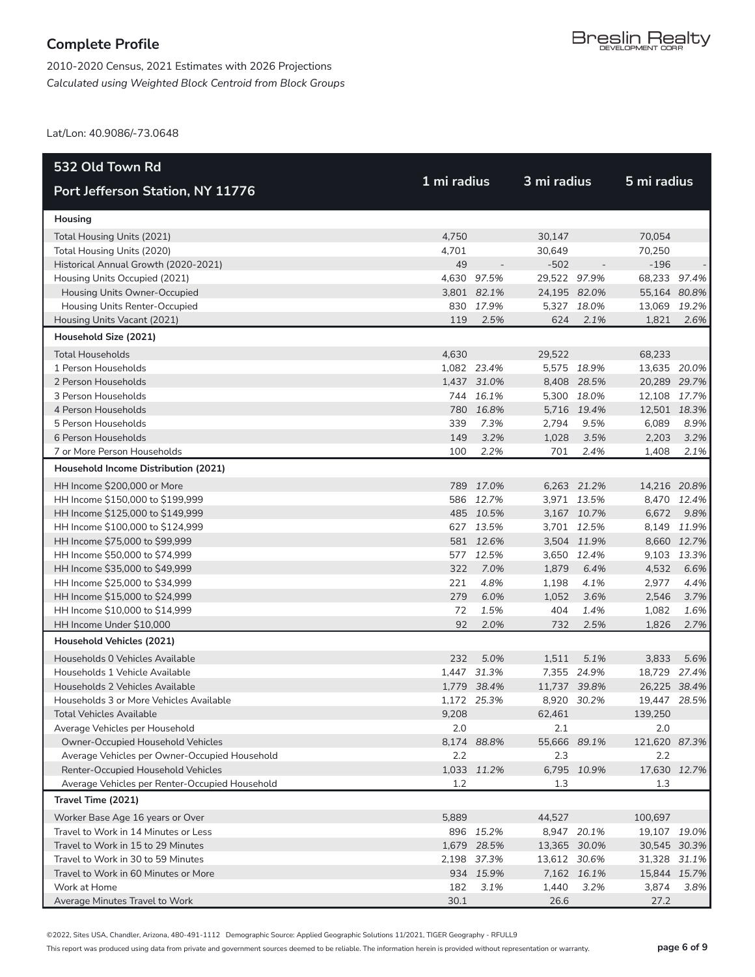2010-2020 Census, 2021 Estimates with 2026 Projections *Calculated using Weighted Block Centroid from Block Groups*

Lat/Lon: 40.9086/-73.0648

| 532 Old Town Rd                                |             |             | 3 mi radius  |             |               |             |
|------------------------------------------------|-------------|-------------|--------------|-------------|---------------|-------------|
| Port Jefferson Station, NY 11776               | 1 mi radius |             |              |             | 5 mi radius   |             |
| Housing                                        |             |             |              |             |               |             |
| Total Housing Units (2021)                     | 4,750       |             | 30,147       |             | 70,054        |             |
| Total Housing Units (2020)                     | 4,701       |             | 30,649       |             | 70,250        |             |
| Historical Annual Growth (2020-2021)           | 49          |             | $-502$       |             | $-196$        |             |
| Housing Units Occupied (2021)                  |             | 4,630 97.5% | 29,522 97.9% |             | 68,233 97.4%  |             |
| Housing Units Owner-Occupied                   |             | 3,801 82.1% | 24,195 82.0% |             | 55,164 80.8%  |             |
| Housing Units Renter-Occupied                  |             | 830 17.9%   |              | 5,327 18.0% | 13,069 19.2%  |             |
| Housing Units Vacant (2021)                    | 119         | 2.5%        | 624          | 2.1%        | 1,821         | 2.6%        |
| Household Size (2021)                          |             |             |              |             |               |             |
| <b>Total Households</b>                        | 4,630       |             | 29,522       |             | 68,233        |             |
| 1 Person Households                            |             | 1,082 23.4% |              | 5,575 18.9% | 13,635 20.0%  |             |
| 2 Person Households                            |             | 1,437 31.0% |              | 8,408 28.5% | 20,289 29.7%  |             |
| 3 Person Households                            |             | 744 16.1%   |              | 5,300 18.0% | 12,108 17.7%  |             |
| 4 Person Households                            |             | 780 16.8%   |              | 5,716 19.4% | 12,501 18.3%  |             |
| 5 Person Households                            | 339         | 7.3%        | 2,794        | 9.5%        | 6,089         | 8.9%        |
| 6 Person Households                            | 149         | 3.2%        | 1,028        | 3.5%        | 2,203         | 3.2%        |
| 7 or More Person Households                    | 100         | 2.2%        | 701          | 2.4%        | 1,408         | 2.1%        |
| Household Income Distribution (2021)           |             |             |              |             |               |             |
| HH Income \$200,000 or More                    |             | 789 17.0%   |              | 6,263 21.2% | 14,216 20.8%  |             |
| HH Income \$150,000 to \$199,999               |             | 586 12.7%   |              | 3,971 13.5% |               | 8,470 12.4% |
| HH Income \$125,000 to \$149,999               |             | 485 10.5%   |              | 3,167 10.7% | 6,672         | 9.8%        |
| HH Income \$100,000 to \$124,999               |             | 627 13.5%   |              | 3,701 12.5% |               | 8,149 11.9% |
| HH Income \$75,000 to \$99,999                 |             | 581 12.6%   |              | 3,504 11.9% |               | 8,660 12.7% |
| HH Income \$50,000 to \$74,999                 |             | 577 12.5%   |              | 3,650 12.4% |               | 9,103 13.3% |
| HH Income \$35,000 to \$49,999                 | 322         | 7.0%        | 1,879        | 6.4%        | 4,532         | 6.6%        |
| HH Income \$25,000 to \$34,999                 | 221         | 4.8%        | 1,198        | 4.1%        | 2,977         | 4.4%        |
| HH Income \$15,000 to \$24,999                 | 279         | 6.0%        | 1,052        | 3.6%        | 2,546         | 3.7%        |
| HH Income \$10,000 to \$14,999                 | 72          | 1.5%        | 404          | 1.4%        | 1,082         | 1.6%        |
| HH Income Under \$10,000                       | 92          | 2.0%        | 732          | 2.5%        | 1,826         | 2.7%        |
| Household Vehicles (2021)                      |             |             |              |             |               |             |
| Households 0 Vehicles Available                | 232         | 5.0%        | 1,511        | 5.1%        | 3,833         | 5.6%        |
| Households 1 Vehicle Available                 |             | 1,447 31.3% |              | 7,355 24.9% | 18,729 27.4%  |             |
| Households 2 Vehicles Available                |             | 1,779 38.4% | 11,737 39.8% |             | 26,225 38.4%  |             |
| Households 3 or More Vehicles Available        |             | 1,172 25.3% |              | 8,920 30.2% | 19,447 28.5%  |             |
| Total Vehicles Available                       | 9.208       |             | 62,461       |             | 139.250       |             |
| Average Vehicles per Household                 | 2.0         |             | 2.1          |             | 2.0           |             |
| Owner-Occupied Household Vehicles              |             | 8,174 88.8% | 55,666 89.1% |             | 121,620 87.3% |             |
| Average Vehicles per Owner-Occupied Household  | 2.2         |             | 2.3          |             | 2.2           |             |
| Renter-Occupied Household Vehicles             |             | 1,033 11.2% |              | 6,795 10.9% | 17,630 12.7%  |             |
| Average Vehicles per Renter-Occupied Household | 1.2         |             | 1.3          |             | 1.3           |             |
| Travel Time (2021)                             |             |             |              |             |               |             |
| Worker Base Age 16 years or Over               | 5,889       |             | 44,527       |             | 100,697       |             |
| Travel to Work in 14 Minutes or Less           |             | 896 15.2%   |              | 8,947 20.1% | 19,107 19.0%  |             |
| Travel to Work in 15 to 29 Minutes             |             | 1,679 28.5% | 13,365 30.0% |             | 30,545 30.3%  |             |
| Travel to Work in 30 to 59 Minutes             |             | 2,198 37.3% | 13,612 30.6% |             | 31,328 31.1%  |             |
| Travel to Work in 60 Minutes or More           |             | 934 15.9%   |              | 7,162 16.1% | 15,844 15.7%  |             |
| Work at Home                                   | 182         | 3.1%        | 1,440        | 3.2%        | 3,874         | 3.8%        |
| Average Minutes Travel to Work                 | 30.1        |             | 26.6         |             | 27.2          |             |

©2022, Sites USA, Chandler, Arizona, 480-491-1112 Demographic Source: Applied Geographic Solutions 11/2021, TIGER Geography - RFULL9

This report was produced using data from private and government sources deemed to be reliable. The information herein is provided without representation or warranty. **page 6 of 9**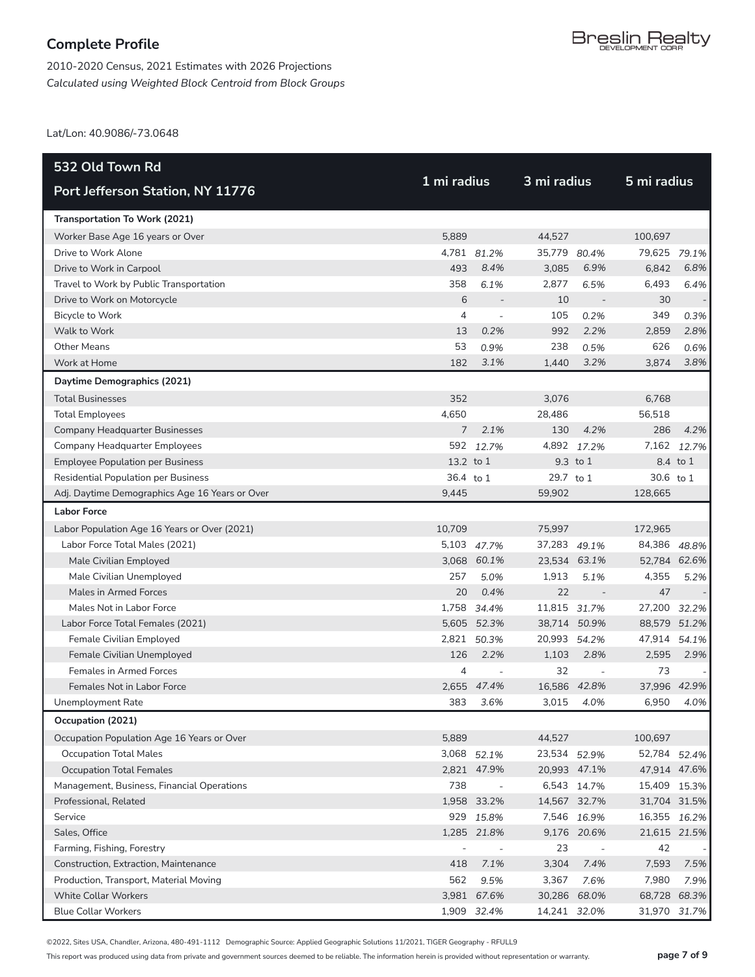2010-2020 Census, 2021 Estimates with 2026 Projections *Calculated using Weighted Block Centroid from Block Groups*

Lat/Lon: 40.9086/-73.0648

| 532 Old Town Rd                                |               |                          | 3 mi radius  |                          |              |             |  |
|------------------------------------------------|---------------|--------------------------|--------------|--------------------------|--------------|-------------|--|
| Port Jefferson Station, NY 11776               | 1 mi radius   |                          |              |                          | 5 mi radius  |             |  |
| Transportation To Work (2021)                  |               |                          |              |                          |              |             |  |
| Worker Base Age 16 years or Over               | 5,889         |                          | 44,527       |                          | 100,697      |             |  |
| Drive to Work Alone                            |               | 4,781 81.2%              | 35,779 80.4% |                          | 79,625 79.1% |             |  |
| Drive to Work in Carpool                       | 493           | 8.4%                     | 3,085        | 6.9%                     | 6,842        | 6.8%        |  |
| Travel to Work by Public Transportation        | 358           | 6.1%                     | 2,877        | 6.5%                     | 6,493        | 6.4%        |  |
| Drive to Work on Motorcycle                    | 6             |                          | 10           |                          | 30           |             |  |
| Bicycle to Work                                | 4             | $\overline{\phantom{a}}$ | 105          | 0.2%                     | 349          | 0.3%        |  |
| Walk to Work                                   | 13            | 0.2%                     | 992          | 2.2%                     | 2,859        | 2.8%        |  |
| Other Means                                    | 53            | 0.9%                     | 238          | 0.5%                     | 626          | 0.6%        |  |
| Work at Home                                   | 182           | 3.1%                     | 1,440        | 3.2%                     | 3,874        | 3.8%        |  |
| Daytime Demographics (2021)                    |               |                          |              |                          |              |             |  |
| <b>Total Businesses</b>                        | 352           |                          | 3,076        |                          | 6,768        |             |  |
| <b>Total Employees</b>                         | 4,650         |                          | 28.486       |                          | 56,518       |             |  |
| Company Headquarter Businesses                 | $\mathcal{I}$ | 2.1%                     | 130          | 4.2%                     | 286          | 4.2%        |  |
| Company Headquarter Employees                  |               | 592 12.7%                |              | 4,892 17.2%              |              | 7,162 12.7% |  |
| <b>Employee Population per Business</b>        | 13.2 to 1     |                          |              | 9.3 to 1                 |              | 8.4 to 1    |  |
| <b>Residential Population per Business</b>     | 36.4 to 1     |                          | 29.7 to 1    |                          | 30.6 to 1    |             |  |
| Adj. Daytime Demographics Age 16 Years or Over | 9.445         |                          | 59,902       |                          | 128,665      |             |  |
| <b>Labor Force</b>                             |               |                          |              |                          |              |             |  |
| Labor Population Age 16 Years or Over (2021)   | 10,709        |                          | 75,997       |                          | 172,965      |             |  |
| Labor Force Total Males (2021)                 |               | 5,103 47.7%              | 37,283 49.1% |                          | 84,386 48.8% |             |  |
| Male Civilian Employed                         |               | 3,068 60.1%              |              | 23,534 63.1%             | 52,784 62.6% |             |  |
| Male Civilian Unemployed                       | 257           | 5.0%                     | 1,913        | 5.1%                     | 4,355        | 5.2%        |  |
| Males in Armed Forces                          | 20            | 0.4%                     | 22           | $\overline{\phantom{a}}$ | 47           |             |  |
| Males Not in Labor Force                       |               | 1,758 34.4%              | 11,815 31.7% |                          | 27,200 32.2% |             |  |
| Labor Force Total Females (2021)               |               | 5,605 52.3%              |              | 38,714 50.9%             | 88,579 51.2% |             |  |
| Female Civilian Employed                       | 2,821         | 50.3%                    | 20,993       | 54.2%                    | 47,914       | 54.1%       |  |
| Female Civilian Unemployed                     | 126           | 2.2%                     | 1,103        | 2.8%                     | 2,595        | 2.9%        |  |
| <b>Females in Armed Forces</b>                 | 4             | $\overline{\phantom{a}}$ | 32           | $\overline{\phantom{a}}$ | 73           |             |  |
| Females Not in Labor Force                     | 2,655         | 47.4%                    | 16,586       | 42.8%                    | 37,996 42.9% |             |  |
| Unemployment Rate                              | 383           | 3.6%                     | 3,015        | 4.0%                     | 6,950        | 4.0%        |  |
| Occupation (2021)                              |               |                          |              |                          |              |             |  |
| Occupation Population Age 16 Years or Over     | 5,889         |                          | 44,527       |                          | 100,697      |             |  |
| <b>Occupation Total Males</b>                  |               | 3,068 52.1%              | 23,534 52.9% |                          | 52,784 52.4% |             |  |
| <b>Occupation Total Females</b>                |               | 2,821 47.9%              |              | 20,993 47.1%             | 47,914 47.6% |             |  |
| Management, Business, Financial Operations     | 738           | $\overline{\phantom{a}}$ |              | 6,543 14.7%              | 15,409 15.3% |             |  |
| Professional, Related                          |               | 1,958 33.2%              |              | 14,567 32.7%             | 31,704 31.5% |             |  |
| Service                                        | 929           | 15.8%                    |              | 7,546 16.9%              | 16,355 16.2% |             |  |
| Sales, Office                                  |               | 1,285 21.8%              |              | 9,176 20.6%              | 21,615 21.5% |             |  |
| Farming, Fishing, Forestry                     |               | $\overline{\phantom{a}}$ | 23           | $\overline{\phantom{a}}$ | 42           |             |  |
| Construction, Extraction, Maintenance          | 418           | 7.1%                     | 3,304        | 7.4%                     | 7,593        | 7.5%        |  |
| Production, Transport, Material Moving         | 562           | 9.5%                     | 3,367        | 7.6%                     | 7,980        | 7.9%        |  |
| <b>White Collar Workers</b>                    |               | 3,981 67.6%              |              | 30,286 68.0%             | 68,728 68.3% |             |  |
| <b>Blue Collar Workers</b>                     |               | 1,909 32.4%              | 14,241 32.0% |                          | 31,970 31.7% |             |  |

©2022, Sites USA, Chandler, Arizona, 480-491-1112 Demographic Source: Applied Geographic Solutions 11/2021, TIGER Geography - RFULL9

This report was produced using data from private and government sources deemed to be reliable. The information herein is provided without representation or warranty. **page 7 of 9**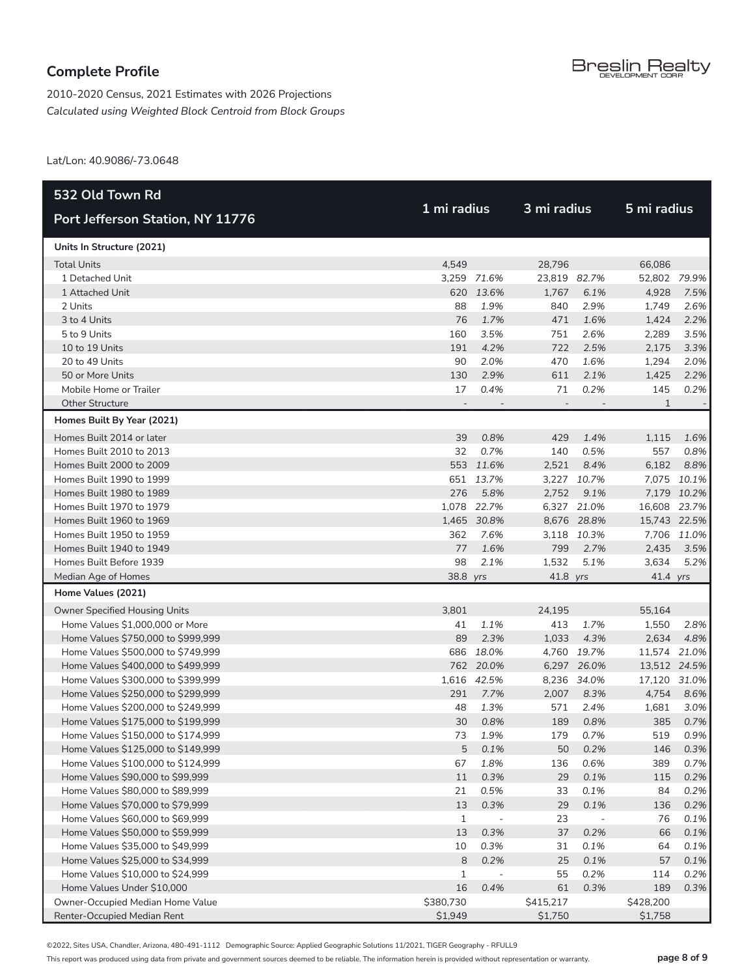2010-2020 Census, 2021 Estimates with 2026 Projections *Calculated using Weighted Block Centroid from Block Groups*

Lat/Lon: 40.9086/-73.0648

| 532 Old Town Rd                    |           |                          | 3 mi radius    |                          |              |             |  |  |
|------------------------------------|-----------|--------------------------|----------------|--------------------------|--------------|-------------|--|--|
| Port Jefferson Station, NY 11776   |           | 1 mi radius              |                |                          | 5 mi radius  |             |  |  |
| Units In Structure (2021)          |           |                          |                |                          |              |             |  |  |
| <b>Total Units</b>                 | 4,549     |                          | 28,796         |                          | 66,086       |             |  |  |
| 1 Detached Unit                    |           | 3,259 71.6%              | 23.819 82.7%   |                          | 52,802 79.9% |             |  |  |
| 1 Attached Unit                    |           | 620 13.6%                | 1,767          | 6.1%                     | 4,928        | 7.5%        |  |  |
| 2 Units                            | 88        | 1.9%                     | 840            | 2.9%                     | 1,749        | 2.6%        |  |  |
| 3 to 4 Units                       | 76        | 1.7%                     | 471            | 1.6%                     | 1,424        | 2.2%        |  |  |
| 5 to 9 Units                       | 160       | 3.5%                     | 751            | 2.6%                     | 2,289        | 3.5%        |  |  |
| 10 to 19 Units                     | 191       | 4.2%                     | 722            | 2.5%                     | 2,175        | 3.3%        |  |  |
| 20 to 49 Units                     | 90        | 2.0%                     | 470            | 1.6%                     | 1,294        | 2.0%        |  |  |
| 50 or More Units                   | 130       | 2.9%                     | 611            | 2.1%                     | 1,425        | 2.2%        |  |  |
| Mobile Home or Trailer             | 17        | 0.4%                     | 71             | 0.2%                     | 145          | 0.2%        |  |  |
| <b>Other Structure</b>             |           |                          | $\overline{a}$ |                          | 1            |             |  |  |
| Homes Built By Year (2021)         |           |                          |                |                          |              |             |  |  |
| Homes Built 2014 or later          | 39        | 0.8%                     | 429            | 1.4%                     | 1,115        | 1.6%        |  |  |
| Homes Built 2010 to 2013           | 32        | 0.7%                     | 140            | 0.5%                     | 557          | 0.8%        |  |  |
| Homes Built 2000 to 2009           |           | 553 11.6%                | 2,521          | 8.4%                     | 6,182        | 8.8%        |  |  |
| Homes Built 1990 to 1999           |           | 651 13.7%                |                | 3,227 10.7%              |              | 7,075 10.1% |  |  |
| Homes Built 1980 to 1989           | 276       | 5.8%                     | 2,752          | 9.1%                     |              | 7,179 10.2% |  |  |
| Homes Built 1970 to 1979           |           | 1,078 22.7%              |                | 6,327 21.0%              | 16,608 23.7% |             |  |  |
| Homes Built 1960 to 1969           |           | 1,465 30.8%              |                | 8,676 28.8%              | 15,743 22.5% |             |  |  |
| Homes Built 1950 to 1959           | 362       | 7.6%                     |                | 3,118 10.3%              |              | 7,706 11.0% |  |  |
| Homes Built 1940 to 1949           | 77        | 1.6%                     | 799            | 2.7%                     | 2,435        | 3.5%        |  |  |
| Homes Built Before 1939            | 98        | 2.1%                     | 1,532          | 5.1%                     | 3,634        | 5.2%        |  |  |
| Median Age of Homes                | 38.8 yrs  |                          | 41.8 yrs       |                          | 41.4 yrs     |             |  |  |
| Home Values (2021)                 |           |                          |                |                          |              |             |  |  |
| Owner Specified Housing Units      | 3,801     |                          | 24,195         |                          | 55,164       |             |  |  |
| Home Values \$1,000,000 or More    | 41        | 1.1%                     | 413            | 1.7%                     | 1,550        | 2.8%        |  |  |
| Home Values \$750,000 to \$999,999 | 89        | 2.3%                     | 1,033          | 4.3%                     | 2,634        | 4.8%        |  |  |
| Home Values \$500,000 to \$749,999 |           | 686 18.0%                |                | 4,760 19.7%              | 11,574 21.0% |             |  |  |
| Home Values \$400,000 to \$499,999 |           | 762 20.0%                |                | 6,297 26.0%              | 13,512 24.5% |             |  |  |
| Home Values \$300,000 to \$399,999 |           | 1,616 42.5%              |                | 8,236 34.0%              | 17,120 31.0% |             |  |  |
| Home Values \$250,000 to \$299,999 | 291       | 7.7%                     | 2,007          | 8.3%                     | 4,754        | 8.6%        |  |  |
| Home Values \$200,000 to \$249,999 | 48        | 1.3%                     | 571            | 2.4%                     | 1,681        | 3.0%        |  |  |
| Home Values \$175,000 to \$199,999 | 30        | 0.8%                     | 189            | 0.8%                     | 385          | 0.7%        |  |  |
| Home Values \$150,000 to \$174,999 | 73        | 1.9%                     | 179            | 0.7%                     | 519          | 0.9%        |  |  |
| Home Values \$125,000 to \$149,999 | 5         | 0.1%                     | 50             | 0.2%                     | 146          | 0.3%        |  |  |
| Home Values \$100,000 to \$124,999 | 67        | 1.8%                     | 136            | 0.6%                     | 389          | 0.7%        |  |  |
| Home Values \$90,000 to \$99,999   | $11$      | 0.3%                     | 29             | 0.1%                     | 115          | 0.2%        |  |  |
| Home Values \$80,000 to \$89,999   | 21        | 0.5%                     | 33             | 0.1%                     | 84           | 0.2%        |  |  |
| Home Values \$70,000 to \$79,999   | 13        | 0.3%                     | 29             | 0.1%                     | 136          | 0.2%        |  |  |
| Home Values \$60,000 to \$69,999   | 1         | $\overline{\phantom{a}}$ | 23             | $\overline{\phantom{a}}$ | 76           | 0.1%        |  |  |
| Home Values \$50,000 to \$59,999   | 13        | 0.3%                     | 37             | 0.2%                     | 66           | 0.1%        |  |  |
| Home Values \$35,000 to \$49,999   | 10        | 0.3%                     | 31             | 0.1%                     | 64           | 0.1%        |  |  |
| Home Values \$25,000 to \$34,999   | 8         | 0.2%                     | 25             | 0.1%                     | 57           | 0.1%        |  |  |
| Home Values \$10,000 to \$24,999   | 1         | $\overline{\phantom{a}}$ | 55             | 0.2%                     | 114          | 0.2%        |  |  |
| Home Values Under \$10,000         | 16        | 0.4%                     | 61             | 0.3%                     | 189          | 0.3%        |  |  |
| Owner-Occupied Median Home Value   | \$380,730 |                          | \$415,217      |                          | \$428,200    |             |  |  |
| Renter-Occupied Median Rent        | \$1,949   |                          | \$1,750        |                          | \$1,758      |             |  |  |

©2022, Sites USA, Chandler, Arizona, 480-491-1112 Demographic Source: Applied Geographic Solutions 11/2021, TIGER Geography - RFULL9

This report was produced using data from private and government sources deemed to be reliable. The information herein is provided without representation or warranty. **page 8 of 9**